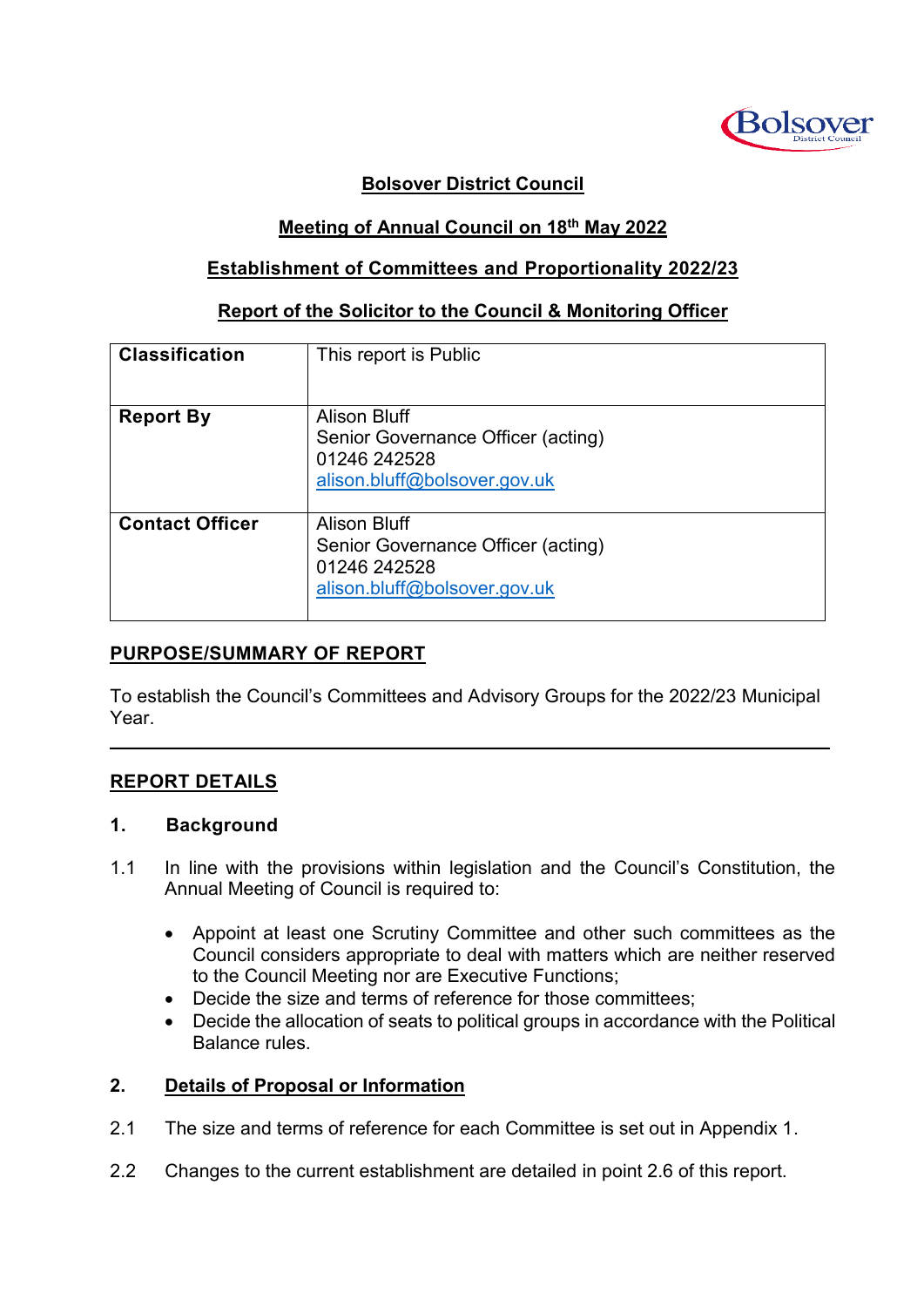

## **Bolsover District Council**

## **Meeting of Annual Council on 18th May 2022**

### **Establishment of Committees and Proportionality 2022/23**

#### **Report of the Solicitor to the Council & Monitoring Officer**

| <b>Classification</b>  | This report is Public                                                                              |
|------------------------|----------------------------------------------------------------------------------------------------|
| <b>Report By</b>       | Alison Bluff<br>Senior Governance Officer (acting)<br>01246 242528<br>alison.bluff@bolsover.gov.uk |
| <b>Contact Officer</b> | Alison Bluff<br>Senior Governance Officer (acting)<br>01246 242528<br>alison.bluff@bolsover.gov.uk |

# **PURPOSE/SUMMARY OF REPORT**

To establish the Council's Committees and Advisory Groups for the 2022/23 Municipal Year.

 $\mathcal{L}_\mathcal{L} = \mathcal{L}_\mathcal{L} = \mathcal{L}_\mathcal{L} = \mathcal{L}_\mathcal{L} = \mathcal{L}_\mathcal{L} = \mathcal{L}_\mathcal{L} = \mathcal{L}_\mathcal{L} = \mathcal{L}_\mathcal{L} = \mathcal{L}_\mathcal{L} = \mathcal{L}_\mathcal{L} = \mathcal{L}_\mathcal{L} = \mathcal{L}_\mathcal{L} = \mathcal{L}_\mathcal{L} = \mathcal{L}_\mathcal{L} = \mathcal{L}_\mathcal{L} = \mathcal{L}_\mathcal{L} = \mathcal{L}_\mathcal{L}$ 

### **REPORT DETAILS**

#### **1. Background**

- 1.1 In line with the provisions within legislation and the Council's Constitution, the Annual Meeting of Council is required to:
	- Appoint at least one Scrutiny Committee and other such committees as the Council considers appropriate to deal with matters which are neither reserved to the Council Meeting nor are Executive Functions;
	- Decide the size and terms of reference for those committees;
	- Decide the allocation of seats to political groups in accordance with the Political Balance rules.

### **2. Details of Proposal or Information**

- 2.1 The size and terms of reference for each Committee is set out in Appendix 1.
- 2.2 Changes to the current establishment are detailed in point 2.6 of this report.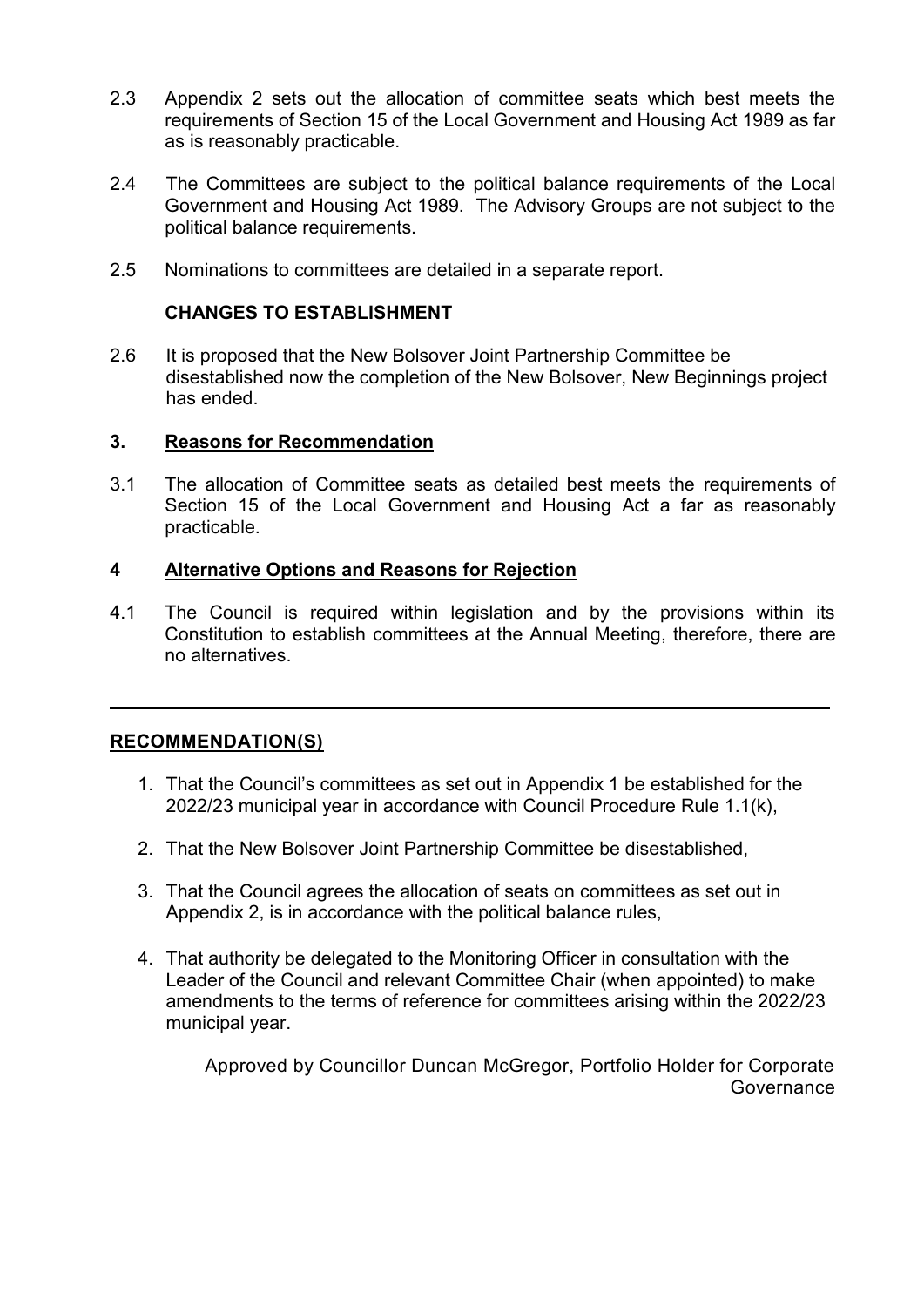- 2.3 Appendix 2 sets out the allocation of committee seats which best meets the requirements of Section 15 of the Local Government and Housing Act 1989 as far as is reasonably practicable.
- 2.4 The Committees are subject to the political balance requirements of the Local Government and Housing Act 1989. The Advisory Groups are not subject to the political balance requirements.
- 2.5 Nominations to committees are detailed in a separate report.

#### **CHANGES TO ESTABLISHMENT**

2.6 It is proposed that the New Bolsover Joint Partnership Committee be disestablished now the completion of the New Bolsover, New Beginnings project has ended.

#### **3. Reasons for Recommendation**

3.1 The allocation of Committee seats as detailed best meets the requirements of Section 15 of the Local Government and Housing Act a far as reasonably practicable.

#### **4 Alternative Options and Reasons for Rejection**

4.1 The Council is required within legislation and by the provisions within its Constitution to establish committees at the Annual Meeting, therefore, there are no alternatives.

**\_\_\_\_\_\_\_\_\_\_\_\_\_\_\_\_\_\_\_\_\_\_\_\_\_\_\_\_\_\_\_\_\_\_\_\_\_\_\_\_\_\_\_\_\_\_\_\_\_\_\_\_\_\_\_\_\_\_\_\_\_\_\_\_\_\_\_**

### **RECOMMENDATION(S)**

- 1. That the Council's committees as set out in Appendix 1 be established for the 2022/23 municipal year in accordance with Council Procedure Rule 1.1(k),
- 2. That the New Bolsover Joint Partnership Committee be disestablished,
- 3. That the Council agrees the allocation of seats on committees as set out in Appendix 2, is in accordance with the political balance rules,
- 4. That authority be delegated to the Monitoring Officer in consultation with the Leader of the Council and relevant Committee Chair (when appointed) to make amendments to the terms of reference for committees arising within the 2022/23 municipal year.

Approved by Councillor Duncan McGregor, Portfolio Holder for Corporate Governance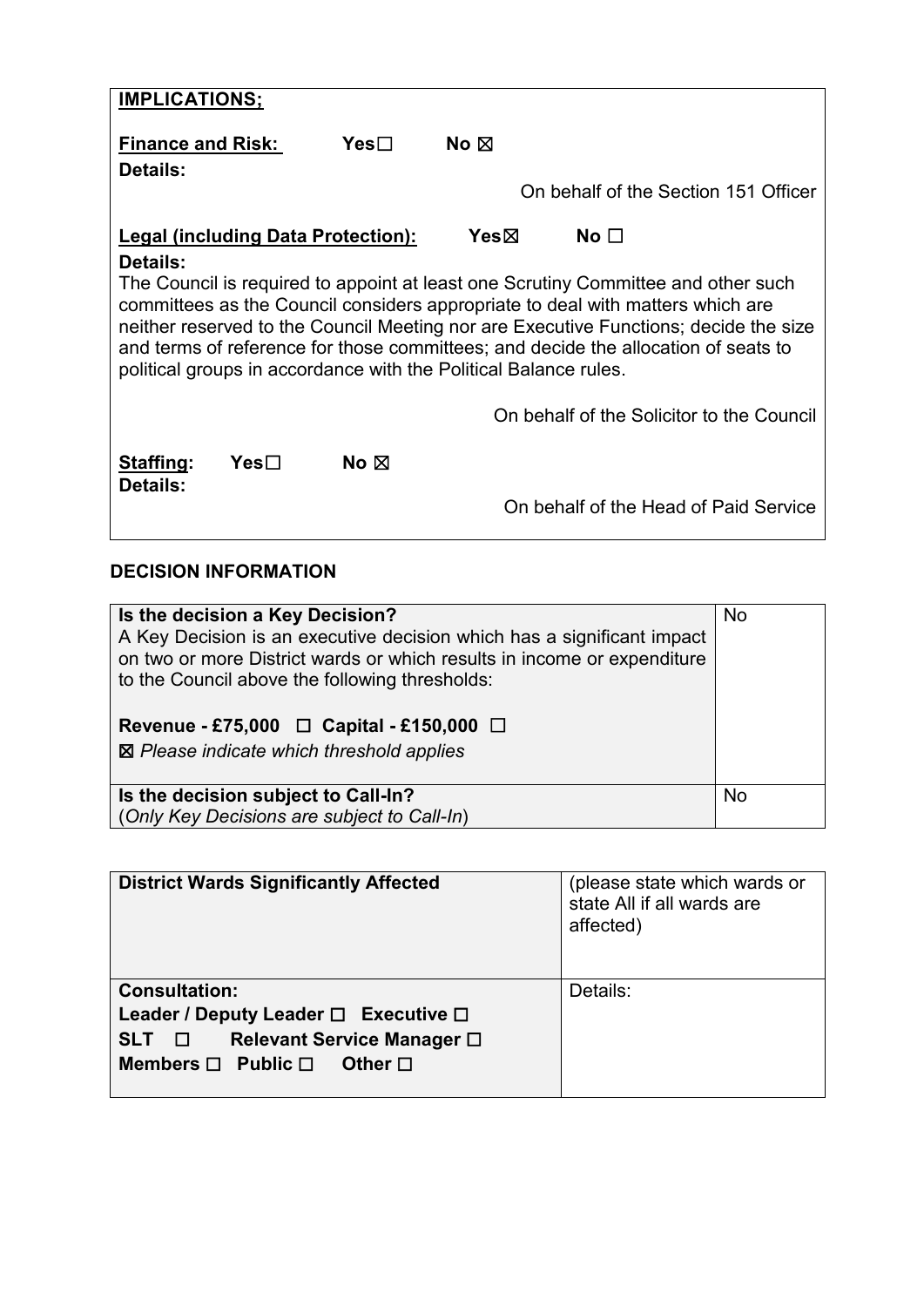| <b>IMPLICATIONS;</b>                                                              |      |                                                                  |        |                                                                                      |
|-----------------------------------------------------------------------------------|------|------------------------------------------------------------------|--------|--------------------------------------------------------------------------------------|
| <b>Finance and Risk:</b><br>Details:                                              |      | $Yes \Box$                                                       | No ⊠   | On behalf of the Section 151 Officer                                                 |
|                                                                                   |      | <b>Legal (including Data Protection):</b>                        | Yesbox | $\mathsf{No} \ \square$                                                              |
| <b>Details:</b>                                                                   |      |                                                                  |        |                                                                                      |
| The Council is required to appoint at least one Scrutiny Committee and other such |      |                                                                  |        |                                                                                      |
|                                                                                   |      |                                                                  |        | committees as the Council considers appropriate to deal with matters which are       |
|                                                                                   |      |                                                                  |        | neither reserved to the Council Meeting nor are Executive Functions; decide the size |
|                                                                                   |      |                                                                  |        | and terms of reference for those committees; and decide the allocation of seats to   |
|                                                                                   |      | political groups in accordance with the Political Balance rules. |        |                                                                                      |
|                                                                                   |      |                                                                  |        |                                                                                      |
|                                                                                   |      |                                                                  |        |                                                                                      |
|                                                                                   |      |                                                                  |        | On behalf of the Solicitor to the Council                                            |
|                                                                                   |      |                                                                  |        |                                                                                      |
|                                                                                   | Yes⊟ | No $\boxtimes$                                                   |        |                                                                                      |
| Staffing:<br>Details:                                                             |      |                                                                  |        |                                                                                      |
|                                                                                   |      |                                                                  |        | On behalf of the Head of Paid Service                                                |

# **DECISION INFORMATION**

| Is the decision a Key Decision?<br>A Key Decision is an executive decision which has a significant impact<br>on two or more District wards or which results in income or expenditure<br>to the Council above the following thresholds:<br>Revenue - £75,000 $\Box$ Capital - £150,000 $\Box$<br>⊠ Please indicate which threshold applies | <b>No</b> |
|-------------------------------------------------------------------------------------------------------------------------------------------------------------------------------------------------------------------------------------------------------------------------------------------------------------------------------------------|-----------|
| Is the decision subject to Call-In?<br>(Only Key Decisions are subject to Call-In)                                                                                                                                                                                                                                                        | <b>No</b> |

| <b>District Wards Significantly Affected</b>                                                                                                                     | (please state which wards or<br>state All if all wards are<br>affected) |
|------------------------------------------------------------------------------------------------------------------------------------------------------------------|-------------------------------------------------------------------------|
| <b>Consultation:</b><br>Leader / Deputy Leader $\Box$ Executive $\Box$<br>Relevant Service Manager □<br>SLT O<br>Members $\Box$ Public $\Box$<br>Other $\square$ | Details:                                                                |